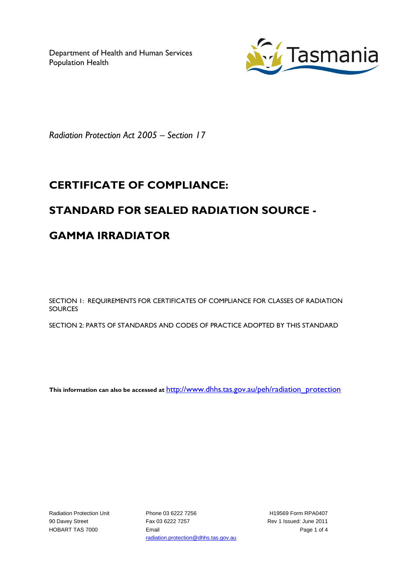Department of Health and Human Services Population Health



*Radiation Protection Act 2005 – Section 17*

## **CERTIFICATE OF COMPLIANCE:**

### **STANDARD FOR SEALED RADIATION SOURCE -**

# **GAMMA IRRADIATOR**

SECTION 1: REQUIREMENTS FOR CERTIFICATES OF COMPLIANCE FOR CLASSES OF RADIATION **SOURCES** 

SECTION 2: PARTS OF STANDARDS AND CODES OF PRACTICE ADOPTED BY THIS STANDARD

**This information can also be accessed at** [http://www.dhhs.tas.gov.au/peh/radiation\\_protection](http://www.dhhs.tas.gov.au/peh/radiation_protection)

Radiation Protection Unit 90 Davey Street HOBART TAS 7000

Phone 03 6222 7256 Fax 03 6222 7257 Email radiation.protection@dhhs.tas.gov.au

H19569 Form RPA0407 Rev 1 Issued: June 2011 Page 1 of 4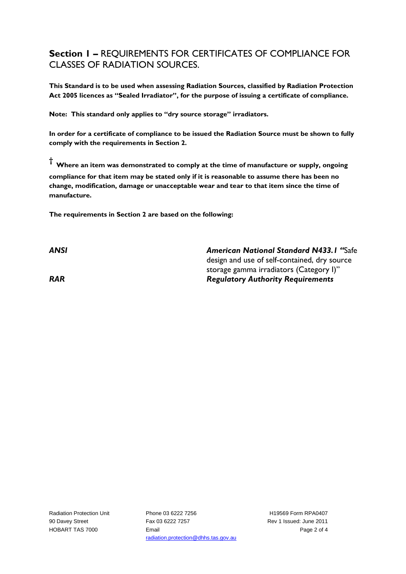#### **Section 1 –** REQUIREMENTS FOR CERTIFICATES OF COMPLIANCE FOR CLASSES OF RADIATION SOURCES.

**This Standard is to be used when assessing Radiation Sources, classified by Radiation Protection Act 2005 licences as "Sealed Irradiator", for the purpose of issuing a certificate of compliance.** 

**Note: This standard only applies to "dry source storage" irradiators.**

**In order for a certificate of compliance to be issued the Radiation Source must be shown to fully comply with the requirements in Section 2.**

**† Where an item was demonstrated to comply at the time of manufacture or supply, ongoing compliance for that item may be stated only if it is reasonable to assume there has been no change, modification, damage or unacceptable wear and tear to that item since the time of manufacture.** 

**The requirements in Section 2 are based on the following:**

*ANSI American National Standard N433.1 "*Safe design and use of self-contained, dry source storage gamma irradiators (Category I)" *RAR Regulatory Authority Requirements*

Radiation Protection Unit 90 Davey Street HOBART TAS 7000

Phone 03 6222 7256 Fax 03 6222 7257 Email radiation.protection@dhhs.tas.gov.au

H19569 Form RPA0407 Rev 1 Issued: June 2011 Page 2 of 4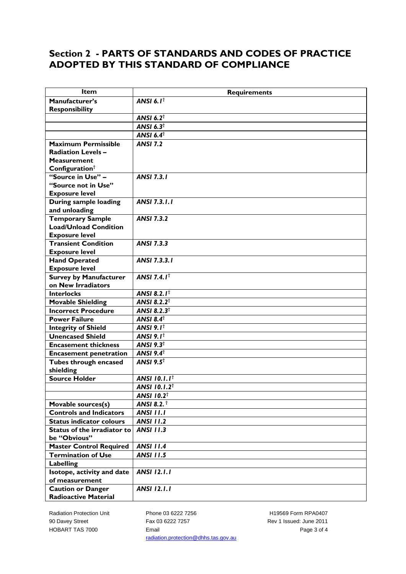#### **Section 2 - PARTS OF STANDARDS AND CODES OF PRACTICE ADOPTED BY THIS STANDARD OF COMPLIANCE**

| <b>Item</b>                        | <b>Requirements</b>             |
|------------------------------------|---------------------------------|
| Manufacturer's                     | ANSI 6.1 $^{\dagger}$           |
| <b>Responsibility</b>              |                                 |
|                                    | ANSI 6.2 $†$                    |
|                                    | ANSI $6.3^{\dagger}$            |
|                                    | ANSI $6.4^{\dagger}$            |
| Maximum Permissible                | <b>ANSI 7.2</b>                 |
| <b>Radiation Levels-</b>           |                                 |
| <b>Measurement</b>                 |                                 |
| Configuration $†$                  |                                 |
| "Source in Use" -                  | <b>ANSI 7.3.1</b>               |
| "Source not in Use"                |                                 |
| <b>Exposure level</b>              |                                 |
| During sample loading              | <b>ANSI 7.3.1.1</b>             |
| and unloading                      |                                 |
| <b>Temporary Sample</b>            | <b>ANSI 7.3.2</b>               |
| <b>Load/Unload Condition</b>       |                                 |
| <b>Exposure level</b>              |                                 |
| <b>Transient Condition</b>         | <b>ANSI 7.3.3</b>               |
| <b>Exposure level</b>              |                                 |
| <b>Hand Operated</b>               | ANSI 7.3.3.1                    |
| <b>Exposure level</b>              |                                 |
| <b>Survey by Manufacturer</b>      | ANSI 7.4.1 $^{\dagger}$         |
| on New Irradiators                 |                                 |
| <b>Interlocks</b>                  | <b>ANSI 8.2.1<sup>t</sup></b>   |
| <b>Movable Shielding</b>           | <b>ANSI 8.2.2<sup>t</sup></b>   |
| <b>Incorrect Procedure</b>         | ANSI 8.2.3 $†$                  |
| <b>Power Failure</b>               | ANSI 8.4 $†$                    |
| <b>Integrity of Shield</b>         | ANSI 9.1 $^{\dagger}$           |
| <b>Unencased Shield</b>            | ANSI 9.1 $^{\dagger}$           |
| <b>Encasement thickness</b>        | ANSI $9.3^{\dagger}$            |
| <b>Encasement penetration</b>      | ANSI $9.4^{\dagger}$            |
| Tubes through encased              | ANSI $9.5^{\dagger}$            |
| shielding                          |                                 |
| <b>Source Holder</b>               | <b>ANSI 10.1.1</b> <sup>t</sup> |
|                                    | <b>ANSI 10.1.2<sup>t</sup></b>  |
|                                    | <b>ANSI 10.2<sup>†</sup></b>    |
| Movable sources(s)                 | <b>ANSI 8.2.</b> †              |
| <b>Controls and Indicators</b>     | <b>ANSI 11.1</b>                |
| <b>Status indicator colours</b>    | <b>ANSI 11.2</b>                |
| <b>Status of the irradiator to</b> | <b>ANSI 11.3</b>                |
| be "Obvious"                       |                                 |
| <b>Master Control Required</b>     | <b>ANSI 11.4</b>                |
| <b>Termination of Use</b>          | <b>ANSI 11.5</b>                |
| <b>Labelling</b>                   |                                 |
| Isotope, activity and date         | <b>ANSI 12.1.1</b>              |
| of measurement                     |                                 |
| <b>Caution or Danger</b>           | <b>ANSI 12.1.1</b>              |
| <b>Radioactive Material</b>        |                                 |

Radiation Protection Unit 90 Davey Street HOBART TAS 7000

Phone 03 6222 7256 Fax 03 6222 7257 Email radiation.protection@dhhs.tas.gov.au

H19569 Form RPA0407 Rev 1 Issued: June 2011 Page 3 of 4